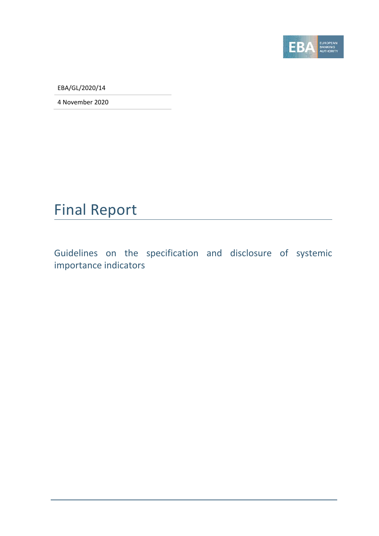

EBA/GL/2020/14

4 November 2020

## Final Report

Guidelines on the specification and disclosure of systemic importance indicators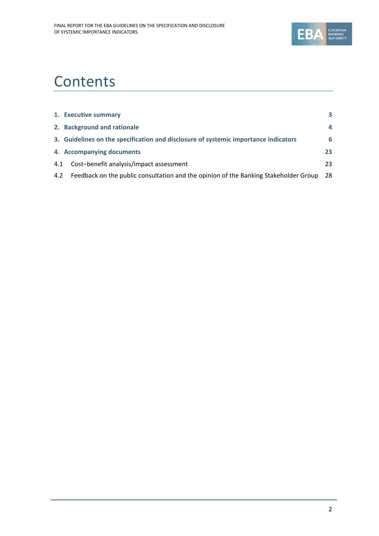

# **Contents**

|     | 1. Executive summary                                                                 | 3              |
|-----|--------------------------------------------------------------------------------------|----------------|
|     | 2. Background and rationale                                                          | $\overline{a}$ |
|     | 3. Guidelines on the specification and disclosure of systemic importance indicators  | 6              |
|     | 4. Accompanying documents                                                            | 23             |
| 4.1 | Cost-benefit analysis/impact assessment                                              | 23             |
| 4.2 | Feedback on the public consultation and the opinion of the Banking Stakeholder Group | 28             |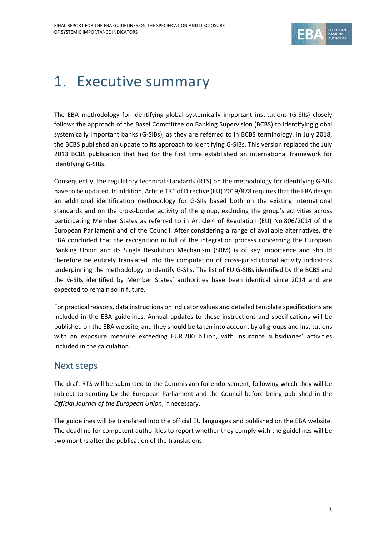

# 1. Executive summary

The EBA methodology for identifying global systemically important institutions (G‐SIIs) closely follows the approach of the Basel Committee on Banking Supervision (BCBS) to identifying global systemically important banks (G-SIBs), as they are referred to in BCBS terminology. In July 2018, the BCBS published an update to its approach to identifying G‐SIBs. This version replaced the July 2013 BCBS publication that had for the first time established an international framework for identifying G‐SIBs.

Consequently, the regulatory technical standards (RTS) on the methodology for identifying G‐SIIs have to be updated. In addition, Article 131 of Directive (EU) 2019/878 requires that the EBA design an additional identification methodology for G-SIIs based both on the existing international standards and on the cross-border activity of the group, excluding the group's activities across participating Member States as referred to in Article 4 of Regulation (EU) No 806/2014 of the European Parliament and of the Council. After considering a range of available alternatives, the EBA concluded that the recognition in full of the integration process concerning the European Banking Union and its Single Resolution Mechanism (SRM) is of key importance and should therefore be entirely translated into the computation of cross-jurisdictional activity indicators underpinning the methodology to identify G‐SIIs. The list of EU G‐SIBs identified by the BCBS and the G‐SIIs identified by Member States' authorities have been identical since 2014 and are expected to remain so in future.

For practical reasons, data instructions on indicator values and detailed template specifications are included in the EBA guidelines. Annual updates to these instructions and specifications will be published on the EBA website, and they should be taken into account by all groups and institutions with an exposure measure exceeding EUR 200 billion, with insurance subsidiaries' activities included in the calculation.

#### Next steps

The draft RTS will be submitted to the Commission for endorsement, following which they will be subject to scrutiny by the European Parliament and the Council before being published in the *Official Journal of the European Union*, if necessary.

The guidelines will be translated into the official EU languages and published on the EBA website. The deadline for competent authorities to report whether they comply with the guidelines will be two months after the publication of the translations.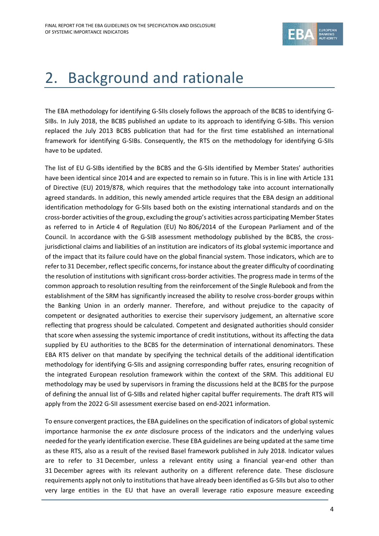

# 2. Background and rationale

The EBA methodology for identifying G-SIIs closely follows the approach of the BCBS to identifying G-SIBs. In July 2018, the BCBS published an update to its approach to identifying G‐SIBs. This version replaced the July 2013 BCBS publication that had for the first time established an international framework for identifying G‐SIBs. Consequently, the RTS on the methodology for identifying G‐SIIs have to be updated.

The list of EU G-SIBs identified by the BCBS and the G-SIIs identified by Member States' authorities have been identical since 2014 and are expected to remain so in future. This is in line with Article 131 of Directive (EU) 2019/878, which requires that the methodology take into account internationally agreed standards. In addition, this newly amended article requires that the EBA design an additional identification methodology for G‐SIIs based both on the existing international standards and on the cross‐border activities of the group, excluding the group's activities across participating Member States as referred to in Article 4 of Regulation (EU) No 806/2014 of the European Parliament and of the Council. In accordance with the G-SIB assessment methodology published by the BCBS, the crossjurisdictional claims and liabilities of an institution are indicators of its global systemic importance and of the impact that its failure could have on the global financial system. Those indicators, which are to refer to 31 December, reflect specific concerns, for instance about the greater difficulty of coordinating the resolution of institutions with significant cross‐border activities. The progress made in terms of the common approach to resolution resulting from the reinforcement of the Single Rulebook and from the establishment of the SRM has significantly increased the ability to resolve cross-border groups within the Banking Union in an orderly manner. Therefore, and without prejudice to the capacity of competent or designated authorities to exercise their supervisory judgement, an alternative score reflecting that progress should be calculated. Competent and designated authorities should consider that score when assessing the systemic importance of credit institutions, without its affecting the data supplied by EU authorities to the BCBS for the determination of international denominators. These EBA RTS deliver on that mandate by specifying the technical details of the additional identification methodology for identifying G‐SIIs and assigning corresponding buffer rates, ensuring recognition of the integrated European resolution framework within the context of the SRM. This additional EU methodology may be used by supervisors in framing the discussions held at the BCBS for the purpose of defining the annual list of G‐SIBs and related higher capital buffer requirements. The draft RTS will apply from the 2022 G‐SII assessment exercise based on end‐2021 information.

To ensure convergent practices, the EBA guidelines on the specification of indicators of globalsystemic importance harmonise the *ex ante* disclosure process of the indicators and the underlying values needed for the yearly identification exercise. These EBA guidelines are being updated at the same time as these RTS, also as a result of the revised Basel framework published in July 2018. Indicator values are to refer to 31 December, unless a relevant entity using a financial year-end other than 31 December agrees with its relevant authority on a different reference date. These disclosure requirements apply not only to institutions that have already been identified as G‐SIIs but also to other very large entities in the EU that have an overall leverage ratio exposure measure exceeding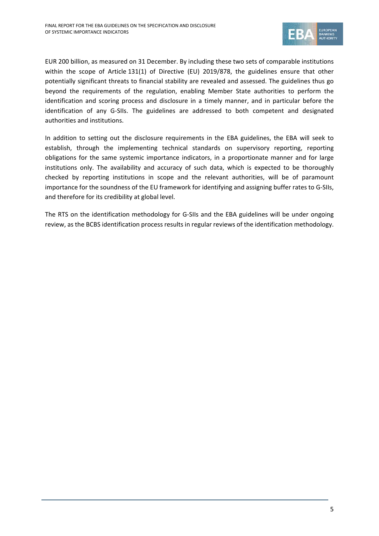

EUR 200 billion, as measured on 31 December. By including these two sets of comparable institutions within the scope of Article 131(1) of Directive (EU) 2019/878, the guidelines ensure that other potentially significant threats to financial stability are revealed and assessed. The guidelines thus go beyond the requirements of the regulation, enabling Member State authorities to perform the identification and scoring process and disclosure in a timely manner, and in particular before the identification of any G‐SIIs. The guidelines are addressed to both competent and designated authorities and institutions.

In addition to setting out the disclosure requirements in the EBA guidelines, the EBA will seek to establish, through the implementing technical standards on supervisory reporting, reporting obligations for the same systemic importance indicators, in a proportionate manner and for large institutions only. The availability and accuracy of such data, which is expected to be thoroughly checked by reporting institutions in scope and the relevant authorities, will be of paramount importance for the soundness of the EU framework for identifying and assigning buffer rates to G‐SIIs, and therefore for its credibility at global level.

The RTS on the identification methodology for G‐SIIs and the EBA guidelines will be under ongoing review, as the BCBS identification process results in regular reviews of the identification methodology.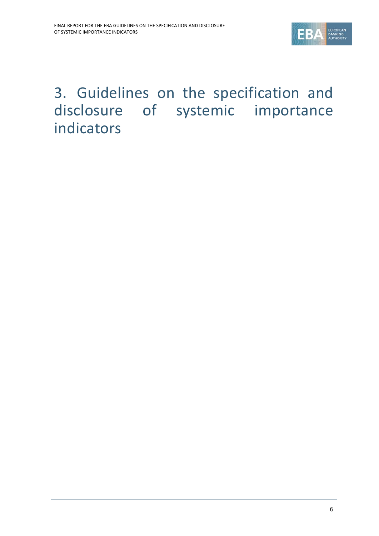

## 3. Guidelines on the specification and disclosure of systemic importance indicators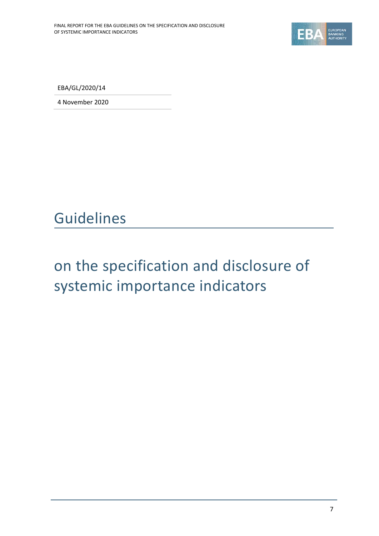

EBA/GL/2020/14

4 November 2020

Guidelines

# on the specification and disclosure of systemic importance indicators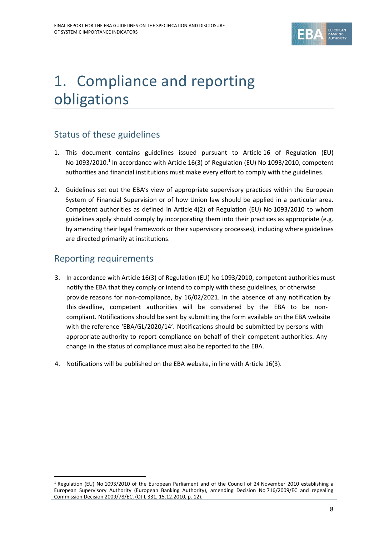

# 1. Compliance and reporting obligations

### Status of these guidelines

- 1. This document contains guidelines issued pursuant to Article 16 of Regulation (EU) No 1093/2010.<sup>1</sup> In accordance with Article 16(3) of Regulation (EU) No 1093/2010, competent authorities and financial institutions must make every effort to comply with the guidelines.
- 2. Guidelines set out the EBA's view of appropriate supervisory practices within the European System of Financial Supervision or of how Union law should be applied in a particular area. Competent authorities as defined in Article 4(2) of Regulation (EU) No 1093/2010 to whom guidelines apply should comply by incorporating them into their practices as appropriate (e.g. by amending their legal framework or their supervisory processes), including where guidelines are directed primarily at institutions.

### Reporting requirements

- 3. In accordance with Article 16(3) of Regulation (EU) No 1093/2010, competent authorities must notify the EBA that they comply or intend to comply with these guidelines, or otherwise provide reasons for non‐compliance, by 16/02/2021. In the absence of any notification by this deadline, competent authorities will be considered by the EBA to be non‐ compliant. Notifications should be sent by submitting the form available on the EBA website with the reference 'EBA/GL/2020/14'. Notifications should be submitted by persons with appropriate authority to report compliance on behalf of their competent authorities. Any change in the status of compliance must also be reported to the EBA.
- 4. Notifications will be published on the EBA website, in line with Article 16(3).

<sup>1</sup> Regulation (EU) No 1093/2010 of the European Parliament and of the Council of 24 November 2010 establishing a European Supervisory Authority (European Banking Authority), amending Decision No 716/2009/EC and repealing Commission Decision 2009/78/EC, (OJ L 331, 15.12.2010, p. 12).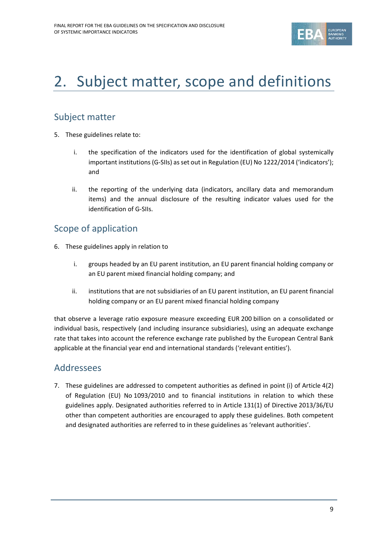

# 2. Subject matter, scope and definitions

### Subject matter

- 5. These guidelines relate to:
	- i. the specification of the indicators used for the identification of global systemically important institutions (G-SIIs) as set out in Regulation (EU) No 1222/2014 ('indicators'); and
	- ii. the reporting of the underlying data (indicators, ancillary data and memorandum items) and the annual disclosure of the resulting indicator values used for the identification of G‐SIIs.

### Scope of application

- 6. These guidelines apply in relation to
	- i. groups headed by an EU parent institution, an EU parent financial holding company or an EU parent mixed financial holding company; and
	- ii. institutions that are not subsidiaries of an EU parent institution, an EU parent financial holding company or an EU parent mixed financial holding company

that observe a leverage ratio exposure measure exceeding EUR 200 billion on a consolidated or individual basis, respectively (and including insurance subsidiaries), using an adequate exchange rate that takes into account the reference exchange rate published by the European Central Bank applicable at the financial year end and international standards ('relevant entities').

#### Addressees

7. These guidelines are addressed to competent authorities as defined in point (i) of Article 4(2) of Regulation (EU) No 1093/2010 and to financial institutions in relation to which these guidelines apply. Designated authorities referred to in Article 131(1) of Directive 2013/36/EU other than competent authorities are encouraged to apply these guidelines. Both competent and designated authorities are referred to in these guidelines as 'relevant authorities'.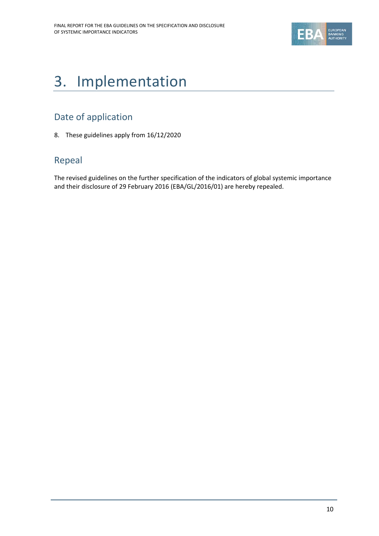

# 3. Implementation

### Date of application

8. These guidelines apply from 16/12/2020

### Repeal

The revised guidelines on the further specification of the indicators of global systemic importance and their disclosure of 29 February 2016 (EBA/GL/2016/01) are hereby repealed.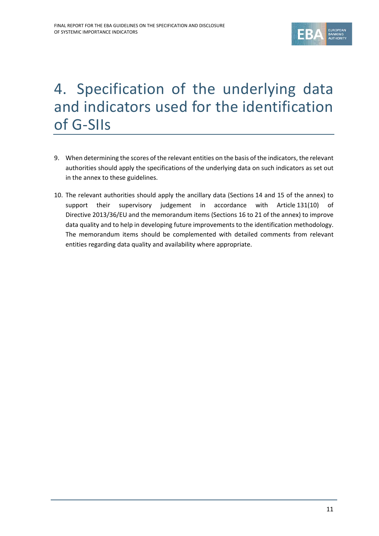

## 4. Specification of the underlying data and indicators used for the identification of G‐SIIs

- 9. When determining the scores of the relevant entities on the basis of the indicators, the relevant authorities should apply the specifications of the underlying data on such indicators as set out in the annex to these guidelines.
- 10. The relevant authorities should apply the ancillary data (Sections 14 and 15 of the annex) to support their supervisory judgement in accordance with Article 131(10) of Directive 2013/36/EU and the memorandum items (Sections 16 to 21 of the annex) to improve data quality and to help in developing future improvements to the identification methodology. The memorandum items should be complemented with detailed comments from relevant entities regarding data quality and availability where appropriate.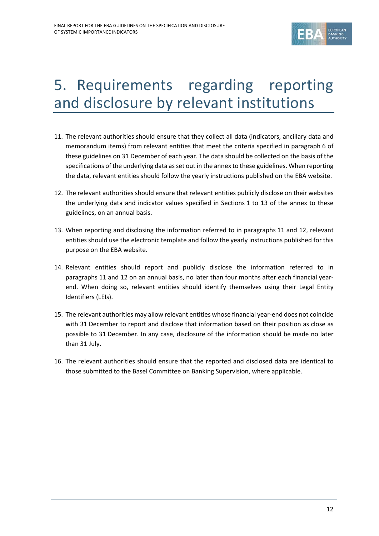

## 5. Requirements regarding reporting and disclosure by relevant institutions

- 11. The relevant authorities should ensure that they collect all data (indicators, ancillary data and memorandum items) from relevant entities that meet the criteria specified in paragraph 6 of these guidelines on 31 December of each year. The data should be collected on the basis of the specifications of the underlying data as set out in the annex to these guidelines. When reporting the data, relevant entities should follow the yearly instructions published on the EBA website.
- 12. The relevant authorities should ensure that relevant entities publicly disclose on their websites the underlying data and indicator values specified in Sections 1 to 13 of the annex to these guidelines, on an annual basis.
- 13. When reporting and disclosing the information referred to in paragraphs 11 and 12, relevant entities should use the electronic template and follow the yearly instructions published for this purpose on the EBA website.
- 14. Relevant entities should report and publicly disclose the information referred to in paragraphs 11 and 12 on an annual basis, no later than four months after each financial year‐ end. When doing so, relevant entities should identify themselves using their Legal Entity Identifiers (LEIs).
- 15. The relevant authorities may allow relevant entities whose financial year-end does not coincide with 31 December to report and disclose that information based on their position as close as possible to 31 December. In any case, disclosure of the information should be made no later than 31 July.
- 16. The relevant authorities should ensure that the reported and disclosed data are identical to those submitted to the Basel Committee on Banking Supervision, where applicable.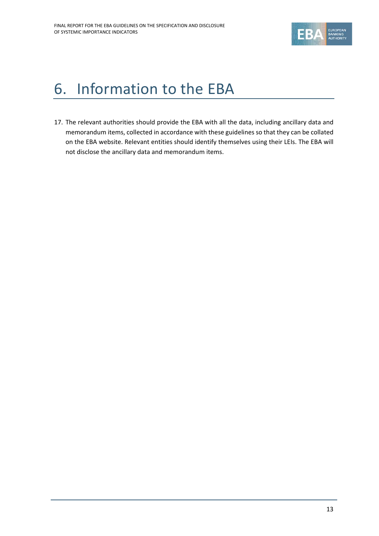

# 6. Information to the EBA

17. The relevant authorities should provide the EBA with all the data, including ancillary data and memorandum items, collected in accordance with these guidelines so that they can be collated on the EBA website. Relevant entities should identify themselves using their LEIs. The EBA will not disclose the ancillary data and memorandum items.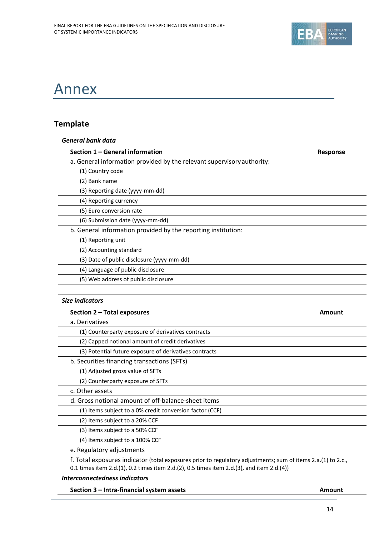

### Annex

### **Template**

| <b>General bank data</b>                                               |                 |
|------------------------------------------------------------------------|-----------------|
| Section 1 - General information                                        | <b>Response</b> |
| a. General information provided by the relevant supervisory authority: |                 |
| (1) Country code                                                       |                 |
| (2) Bank name                                                          |                 |
| (3) Reporting date (yyyy-mm-dd)                                        |                 |
| (4) Reporting currency                                                 |                 |
| (5) Euro conversion rate                                               |                 |
| (6) Submission date (yyyy-mm-dd)                                       |                 |
| b. General information provided by the reporting institution:          |                 |
| (1) Reporting unit                                                     |                 |
| (2) Accounting standard                                                |                 |
| (3) Date of public disclosure (yyyy-mm-dd)                             |                 |
| (4) Language of public disclosure                                      |                 |
| (5) Web address of public disclosure                                   |                 |
|                                                                        |                 |

#### *Size indicators*

| Section 2 - Total exposures<br>Amount                                                                                                                                                                     |  |
|-----------------------------------------------------------------------------------------------------------------------------------------------------------------------------------------------------------|--|
| a. Derivatives                                                                                                                                                                                            |  |
| (1) Counterparty exposure of derivatives contracts                                                                                                                                                        |  |
| (2) Capped notional amount of credit derivatives                                                                                                                                                          |  |
| (3) Potential future exposure of derivatives contracts                                                                                                                                                    |  |
| b. Securities financing transactions (SFTs)                                                                                                                                                               |  |
| (1) Adjusted gross value of SFTs                                                                                                                                                                          |  |
| (2) Counterparty exposure of SFTs                                                                                                                                                                         |  |
| c. Other assets                                                                                                                                                                                           |  |
| d. Gross notional amount of off-balance-sheet items                                                                                                                                                       |  |
| (1) Items subject to a 0% credit conversion factor (CCF)                                                                                                                                                  |  |
| (2) Items subject to a 20% CCF                                                                                                                                                                            |  |
| (3) Items subject to a 50% CCF                                                                                                                                                                            |  |
| (4) Items subject to a 100% CCF                                                                                                                                                                           |  |
| e. Regulatory adjustments                                                                                                                                                                                 |  |
| f. Total exposures indicator (total exposures prior to regulatory adjustments; sum of items 2.a.(1) to 2.c.,<br>0.1 times item 2.d.(1), 0.2 times item 2.d.(2), 0.5 times item 2.d.(3), and item 2.d.(4)) |  |
| Interconnectedness indicators                                                                                                                                                                             |  |

**Section 3 – Intra‐financial system assets Amount**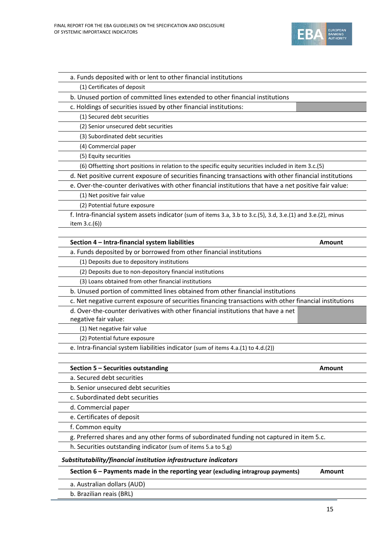

b. Senior unsecured debt securities

c. Subordinated debt securities

d. Commercial paper

e. Certificates of deposit

f. Common equity

g. Preferred shares and any other forms of subordinated funding not captured in item 5.c.

h. Securities outstanding indicator (sum of items 5.a to 5.g)

#### *Substitutability/financial institution infrastructure indicators*

**Section 6 – Payments made in the reporting year (excluding intragroup payments) Amount**

a. Australian dollars (AUD)

b. Brazilian reais (BRL)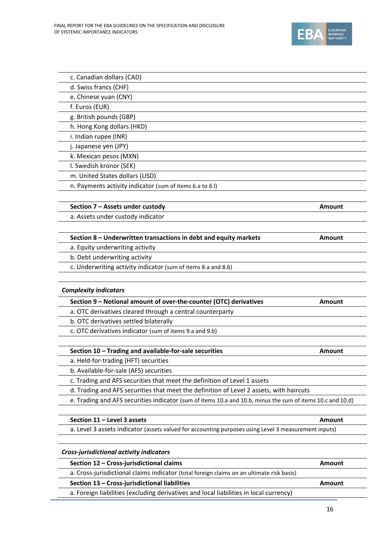

| c. Canadian dollars (CAD)                                                                                  |        |
|------------------------------------------------------------------------------------------------------------|--------|
| d. Swiss francs (CHF)                                                                                      |        |
| e. Chinese yuan (CNY)                                                                                      |        |
| f. Euros (EUR)                                                                                             |        |
| g. British pounds (GBP)                                                                                    |        |
| h. Hong Kong dollars (HKD)                                                                                 |        |
| i. Indian rupee (INR)                                                                                      |        |
| j. Japanese yen (JPY)                                                                                      |        |
| k. Mexican pesos (MXN)                                                                                     |        |
| I. Swedish kronor (SEK)                                                                                    |        |
| m. United States dollars (USD)                                                                             |        |
| n. Payments activity indicator (sum of items 6.a to 6.I)                                                   |        |
| Section 7 - Assets under custody                                                                           | Amount |
| a. Assets under custody indicator                                                                          |        |
|                                                                                                            |        |
| Section 8 - Underwritten transactions in debt and equity markets                                           | Amount |
| a. Equity underwriting activity                                                                            |        |
| b. Debt underwriting activity                                                                              |        |
| c. Underwriting activity indicator (sum of items 8.a and 8.b)                                              |        |
| <b>Complexity indicators</b>                                                                               |        |
| Section 9 - Notional amount of over-the-counter (OTC) derivatives                                          | Amount |
| a. OTC derivatives cleared through a central counterparty                                                  |        |
| b. OTC derivatives settled bilaterally                                                                     |        |
| c. OTC derivatives indicator (sum of items 9.a and 9.b)                                                    |        |
|                                                                                                            |        |
| Section 10 - Trading and available-for-sale securities<br>a. Held-for-trading (HFT) securities             | Amount |
| b. Available-for-sale (AFS) securities                                                                     |        |
| c. Trading and AFS securities that meet the definition of Level 1 assets                                   |        |
| d. Trading and AFS securities that meet the definition of Level 2 assets, with haircuts                    |        |
| e. Trading and AFS securities indicator (sum of items 10.a and 10.b, minus the sum of items 10.c and 10.d) |        |
|                                                                                                            |        |
| Section 11 - Level 3 assets                                                                                | Amount |
| a. Level 3 assets indicator (assets valued for accounting purposes using Level 3 measurement inputs)       |        |
| Cross-jurisdictional activity indicators                                                                   |        |
| Section 12 - Cross-jurisdictional claims                                                                   | Amount |
| a. Cross-jurisdictional claims indicator (total foreign claims on an ultimate risk basis)                  |        |
| Section 13 - Cross-jurisdictional liabilities                                                              | Amount |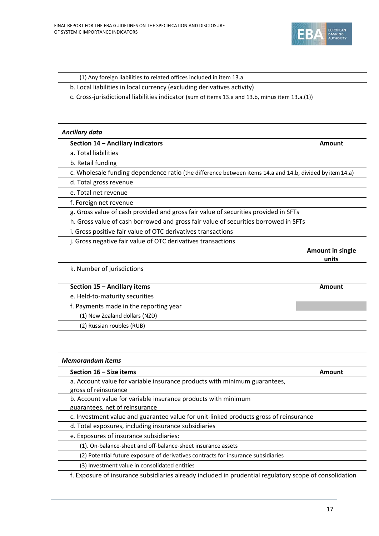

| (1) Any foreign liabilities to related offices included in item 13.a |  |
|----------------------------------------------------------------------|--|
|----------------------------------------------------------------------|--|

b. Local liabilities in local currency (excluding derivatives activity)

c. Cross‐jurisdictional liabilities indicator (sum of items 13.a and 13.b, minus item 13.a.(1))

#### *Ancillary data*

| Section 14 - Ancillary indicators | Amount |
|-----------------------------------|--------|
|-----------------------------------|--------|

a. Total liabilities

b. Retail funding

c. Wholesale funding dependence ratio (the difference between items 14.a and 14.b, divided by item14.a)

d. Total gross revenue

e. Total net revenue

f. Foreign net revenue

g. Gross value of cash provided and gross fair value of securities provided in SFTs

h. Gross value of cash borrowed and gross fair value of securities borrowed in SFTs

- i. Gross positive fair value of OTC derivatives transactions
- j. Gross negative fair value of OTC derivatives transactions

**Amount in single units**

k. Number of jurisdictions

| Section 15 - Ancillary items           | Amount |
|----------------------------------------|--------|
| e. Held-to-maturity securities         |        |
| f. Payments made in the reporting year |        |
| (1) New Zealand dollars (NZD)          |        |
| (2) Russian roubles (RUB)              |        |

| <b>Memorandum items</b>                                                                                |        |  |
|--------------------------------------------------------------------------------------------------------|--------|--|
| Section $16 - Size$ items                                                                              | Amount |  |
| a. Account value for variable insurance products with minimum guarantees,<br>gross of reinsurance      |        |  |
| b. Account value for variable insurance products with minimum<br>guarantees, net of reinsurance        |        |  |
| c. Investment value and guarantee value for unit-linked products gross of reinsurance                  |        |  |
| d. Total exposures, including insurance subsidiaries                                                   |        |  |
| e. Exposures of insurance subsidiaries:                                                                |        |  |
| (1). On-balance-sheet and off-balance-sheet insurance assets                                           |        |  |
| (2) Potential future exposure of derivatives contracts for insurance subsidiaries                      |        |  |
| (3) Investment value in consolidated entities                                                          |        |  |
| f. Exposure of insurance subsidiaries already included in prudential regulatory scope of consolidation |        |  |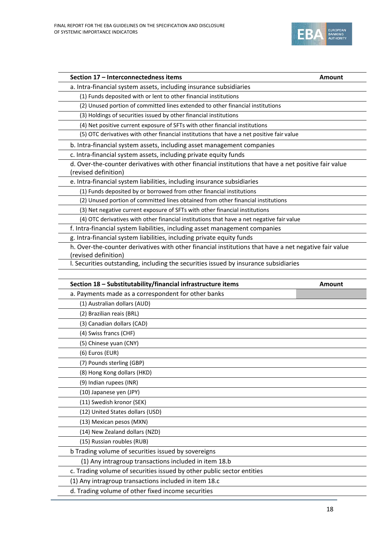

| Section 17 - Interconnectedness items                                                                                                                                                 | <b>Amount</b> |
|---------------------------------------------------------------------------------------------------------------------------------------------------------------------------------------|---------------|
| a. Intra-financial system assets, including insurance subsidiaries                                                                                                                    |               |
| (1) Funds deposited with or lent to other financial institutions                                                                                                                      |               |
| (2) Unused portion of committed lines extended to other financial institutions                                                                                                        |               |
| (3) Holdings of securities issued by other financial institutions                                                                                                                     |               |
| (4) Net positive current exposure of SFTs with other financial institutions                                                                                                           |               |
| (5) OTC derivatives with other financial institutions that have a net positive fair value                                                                                             |               |
| b. Intra-financial system assets, including asset management companies                                                                                                                |               |
| c. Intra-financial system assets, including private equity funds                                                                                                                      |               |
| d. Over-the-counter derivatives with other financial institutions that have a net positive fair value<br>(revised definition)                                                         |               |
| e. Intra-financial system liabilities, including insurance subsidiaries                                                                                                               |               |
| (1) Funds deposited by or borrowed from other financial institutions                                                                                                                  |               |
| (2) Unused portion of committed lines obtained from other financial institutions                                                                                                      |               |
| (3) Net negative current exposure of SFTs with other financial institutions                                                                                                           |               |
| (4) OTC derivatives with other financial institutions that have a net negative fair value                                                                                             |               |
| f. Intra-financial system liabilities, including asset management companies                                                                                                           |               |
| g. Intra-financial system liabilities, including private equity funds                                                                                                                 |               |
| h. Over-the-counter derivatives with other financial institutions that have a net negative fair value                                                                                 |               |
| (revised definition)                                                                                                                                                                  |               |
| I. Securities outstanding, including the securities issued by insurance subsidiaries                                                                                                  |               |
|                                                                                                                                                                                       |               |
| Section 18 - Substitutability/financial infrastructure items                                                                                                                          | <b>Amount</b> |
| a. Payments made as a correspondent for other banks                                                                                                                                   |               |
| (1) Australian dollars (AUD)                                                                                                                                                          |               |
| (2) Brazilian reais (BRL)                                                                                                                                                             |               |
| (3) Canadian dollars (CAD)                                                                                                                                                            |               |
| (4) Swiss francs (CHF)                                                                                                                                                                |               |
| (5) Chinese yuan (CNY)                                                                                                                                                                |               |
| (6) Euros (EUR)                                                                                                                                                                       |               |
| (7) Pounds sterling (GBP)                                                                                                                                                             |               |
| (8) Hong Kong dollars (HKD)                                                                                                                                                           |               |
| (9) Indian rupees (INR)                                                                                                                                                               |               |
| (10) Japanese yen (JPY)                                                                                                                                                               |               |
| (11) Swedish kronor (SEK)                                                                                                                                                             |               |
| (12) United States dollars (USD)                                                                                                                                                      |               |
| (13) Mexican pesos (MXN)                                                                                                                                                              |               |
| (14) New Zealand dollars (NZD)                                                                                                                                                        |               |
|                                                                                                                                                                                       |               |
|                                                                                                                                                                                       |               |
| (15) Russian roubles (RUB)                                                                                                                                                            |               |
|                                                                                                                                                                                       |               |
| b Trading volume of securities issued by sovereigns<br>(1) Any intragroup transactions included in item 18.b                                                                          |               |
|                                                                                                                                                                                       |               |
| c. Trading volume of securities issued by other public sector entities<br>(1) Any intragroup transactions included in item 18.c<br>d. Trading volume of other fixed income securities |               |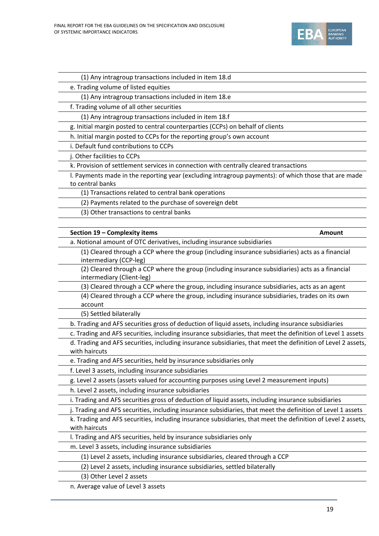

| (1) Any intragroup transactions included in item 18.d                                                                         |
|-------------------------------------------------------------------------------------------------------------------------------|
| e. Trading volume of listed equities                                                                                          |
| (1) Any intragroup transactions included in item 18.e                                                                         |
| f. Trading volume of all other securities                                                                                     |
| (1) Any intragroup transactions included in item 18.f                                                                         |
| g. Initial margin posted to central counterparties (CCPs) on behalf of clients                                                |
| h. Initial margin posted to CCPs for the reporting group's own account                                                        |
| i. Default fund contributions to CCPs                                                                                         |
| j. Other facilities to CCPs                                                                                                   |
| k. Provision of settlement services in connection with centrally cleared transactions                                         |
| I. Payments made in the reporting year (excluding intragroup payments): of which those that are made<br>to central banks      |
| (1) Transactions related to central bank operations                                                                           |
| (2) Payments related to the purchase of sovereign debt                                                                        |
| (3) Other transactions to central banks                                                                                       |
|                                                                                                                               |
| Section 19 - Complexity items<br><b>Amount</b>                                                                                |
| a. Notional amount of OTC derivatives, including insurance subsidiaries                                                       |
| (1) Cleared through a CCP where the group (including insurance subsidiaries) acts as a financial<br>intermediary (CCP-leg)    |
| (2) Cleared through a CCP where the group (including insurance subsidiaries) acts as a financial<br>intermediary (Client-leg) |
| (3) Cleared through a CCP where the group, including insurance subsidiaries, acts as an agent                                 |
| (4) Cleared through a CCP where the group, including insurance subsidiaries, trades on its own<br>account                     |
| (5) Settled bilaterally                                                                                                       |
| b. Trading and AFS securities gross of deduction of liquid assets, including insurance subsidiaries                           |
| c. Trading and AFS securities, including insurance subsidiaries, that meet the definition of Level 1 assets                   |
| d. Trading and AFS securities, including insurance subsidiaries, that meet the definition of Level 2 assets,<br>with haircuts |
| e. Trading and AFS securities, held by insurance subsidiaries only                                                            |
| f. Level 3 assets, including insurance subsidiaries                                                                           |
| g. Level 2 assets (assets valued for accounting purposes using Level 2 measurement inputs)                                    |
| h. Level 2 assets, including insurance subsidiaries                                                                           |
| i. Trading and AFS securities gross of deduction of liquid assets, including insurance subsidiaries                           |
| j. Trading and AFS securities, including insurance subsidiaries, that meet the definition of Level 1 assets                   |
| k. Trading and AFS securities, including insurance subsidiaries, that meet the definition of Level 2 assets,<br>with haircuts |
| I. Trading and AFS securities, held by insurance subsidiaries only                                                            |
| m. Level 3 assets, including insurance subsidiaries                                                                           |
| (1) Level 2 assets, including insurance subsidiaries, cleared through a CCP                                                   |
| (2) Level 2 assets, including insurance subsidiaries, settled bilaterally                                                     |
| (3) Other Level 2 assets                                                                                                      |
|                                                                                                                               |

n. Average value of Level 3 assets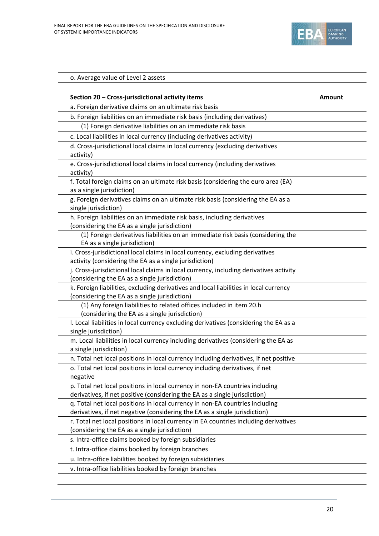

| Section 20 - Cross-jurisdictional activity items                                                                                        | <b>Amount</b> |
|-----------------------------------------------------------------------------------------------------------------------------------------|---------------|
| a. Foreign derivative claims on an ultimate risk basis                                                                                  |               |
| b. Foreign liabilities on an immediate risk basis (including derivatives)                                                               |               |
| (1) Foreign derivative liabilities on an immediate risk basis                                                                           |               |
| c. Local liabilities in local currency (including derivatives activity)                                                                 |               |
| d. Cross-jurisdictional local claims in local currency (excluding derivatives                                                           |               |
| activity)                                                                                                                               |               |
| e. Cross-jurisdictional local claims in local currency (including derivatives                                                           |               |
| activity)                                                                                                                               |               |
| f. Total foreign claims on an ultimate risk basis (considering the euro area (EA)                                                       |               |
| as a single jurisdiction)                                                                                                               |               |
| g. Foreign derivatives claims on an ultimate risk basis (considering the EA as a                                                        |               |
| single jurisdiction)                                                                                                                    |               |
| h. Foreign liabilities on an immediate risk basis, including derivatives                                                                |               |
| (considering the EA as a single jurisdiction)                                                                                           |               |
| (1) Foreign derivatives liabilities on an immediate risk basis (considering the                                                         |               |
| EA as a single jurisdiction)                                                                                                            |               |
| i. Cross-jurisdictional local claims in local currency, excluding derivatives<br>activity (considering the EA as a single jurisdiction) |               |
| j. Cross-jurisdictional local claims in local currency, including derivatives activity                                                  |               |
| (considering the EA as a single jurisdiction)                                                                                           |               |
| k. Foreign liabilities, excluding derivatives and local liabilities in local currency                                                   |               |
| (considering the EA as a single jurisdiction)                                                                                           |               |
| (1) Any foreign liabilities to related offices included in item 20.h                                                                    |               |
| (considering the EA as a single jurisdiction)                                                                                           |               |
| I. Local liabilities in local currency excluding derivatives (considering the EA as a                                                   |               |
| single jurisdiction)                                                                                                                    |               |
| m. Local liabilities in local currency including derivatives (considering the EA as                                                     |               |
| a single jurisdiction)                                                                                                                  |               |
| n. Total net local positions in local currency including derivatives, if net positive                                                   |               |
| o. Total net local positions in local currency including derivatives, if net                                                            |               |
| negative                                                                                                                                |               |
| p. Total net local positions in local currency in non-EA countries including                                                            |               |
| derivatives, if net positive (considering the EA as a single jurisdiction)                                                              |               |
| q. Total net local positions in local currency in non-EA countries including                                                            |               |
| derivatives, if net negative (considering the EA as a single jurisdiction)                                                              |               |
| r. Total net local positions in local currency in EA countries including derivatives                                                    |               |
| (considering the EA as a single jurisdiction)                                                                                           |               |
| s. Intra-office claims booked by foreign subsidiaries                                                                                   |               |
| t. Intra-office claims booked by foreign branches                                                                                       |               |
| u. Intra-office liabilities booked by foreign subsidiaries                                                                              |               |
| v. Intra-office liabilities booked by foreign branches                                                                                  |               |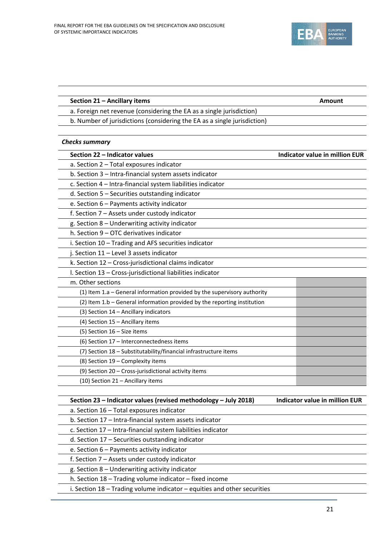

| Section 21 - Ancillary items                                             | <b>Amount</b>                         |
|--------------------------------------------------------------------------|---------------------------------------|
| a. Foreign net revenue (considering the EA as a single jurisdiction)     |                                       |
| b. Number of jurisdictions (considering the EA as a single jurisdiction) |                                       |
| <b>Checks summary</b>                                                    |                                       |
| Section 22 - Indicator values                                            | <b>Indicator value in million EUR</b> |
| a. Section 2 - Total exposures indicator                                 |                                       |
| b. Section 3 - Intra-financial system assets indicator                   |                                       |
| c. Section 4 - Intra-financial system liabilities indicator              |                                       |
| d. Section 5 - Securities outstanding indicator                          |                                       |
| e. Section 6 - Payments activity indicator                               |                                       |
| f. Section 7 - Assets under custody indicator                            |                                       |
| g. Section 8 - Underwriting activity indicator                           |                                       |
| h. Section 9 - OTC derivatives indicator                                 |                                       |
| i. Section 10 - Trading and AFS securities indicator                     |                                       |
| j. Section 11 - Level 3 assets indicator                                 |                                       |
| k. Section 12 - Cross-jurisdictional claims indicator                    |                                       |
| I. Section 13 - Cross-jurisdictional liabilities indicator               |                                       |
| m. Other sections                                                        |                                       |
| (1) Item 1.a - General information provided by the supervisory authority |                                       |
| (2) Item 1.b - General information provided by the reporting institution |                                       |
| (3) Section 14 - Ancillary indicators                                    |                                       |
| (4) Section 15 - Ancillary items                                         |                                       |
| (5) Section 16 - Size items                                              |                                       |
| (6) Section 17 - Interconnectedness items                                |                                       |
| (7) Section 18 - Substitutability/financial infrastructure items         |                                       |
| (8) Section 19 - Complexity items                                        |                                       |
| (9) Section 20 - Cross-jurisdictional activity items                     |                                       |
| (10) Section 21 - Ancillary items                                        |                                       |
| Section 23 - Indicator values (revised methodology - July 2018)          | <b>Indicator value in million EUR</b> |
| a. Section 16 - Total exposures indicator                                |                                       |
| b. Section 17 - Intra-financial system assets indicator                  |                                       |
| c. Section 17 - Intra-financial system liabilities indicator             |                                       |
| d. Section 17 - Securities outstanding indicator                         |                                       |
| e. Section 6 - Payments activity indicator                               |                                       |
| f. Section 7 - Assets under custody indicator                            |                                       |
| g. Section 8 - Underwriting activity indicator                           |                                       |

h. Section 18 – Trading volume indicator – fixed income

i. Section 18 – Trading volume indicator – equities and other securities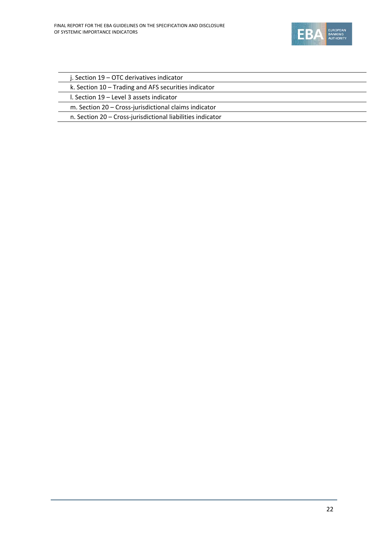

| j. Section 19 – OTC derivatives indicator                  |
|------------------------------------------------------------|
| k. Section 10 - Trading and AFS securities indicator       |
| I. Section 19 – Level 3 assets indicator                   |
| m. Section 20 - Cross-jurisdictional claims indicator      |
| n. Section 20 - Cross-jurisdictional liabilities indicator |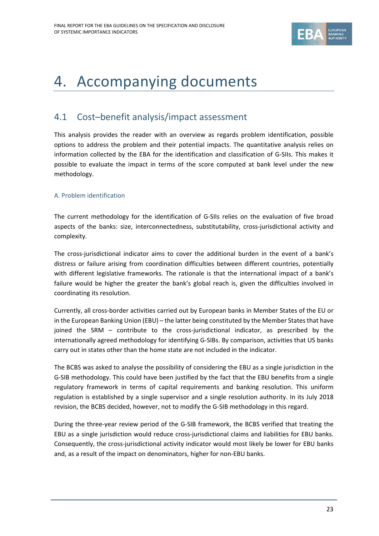

## 4. Accompanying documents

### 4.1 Cost–benefit analysis/impact assessment

This analysis provides the reader with an overview as regards problem identification, possible options to address the problem and their potential impacts. The quantitative analysis relies on information collected by the EBA for the identification and classification of G‐SIIs. This makes it possible to evaluate the impact in terms of the score computed at bank level under the new methodology.

#### A. Problem identification

The current methodology for the identification of G‐SIIs relies on the evaluation of five broad aspects of the banks: size, interconnectedness, substitutability, cross-jurisdictional activity and complexity.

The cross-jurisdictional indicator aims to cover the additional burden in the event of a bank's distress or failure arising from coordination difficulties between different countries, potentially with different legislative frameworks. The rationale is that the international impact of a bank's failure would be higher the greater the bank's global reach is, given the difficulties involved in coordinating its resolution.

Currently, all cross‐border activities carried out by European banks in Member States of the EU or in the European Banking Union (EBU) – the latter being constituted by the Member States that have joined the SRM – contribute to the cross-jurisdictional indicator, as prescribed by the internationally agreed methodology for identifying G‐SIBs. By comparison, activities that US banks carry out in states other than the home state are not included in the indicator.

The BCBS was asked to analyse the possibility of considering the EBU as a single jurisdiction in the G‐SIB methodology. This could have been justified by the fact that the EBU benefits from a single regulatory framework in terms of capital requirements and banking resolution. This uniform regulation is established by a single supervisor and a single resolution authority. In its July 2018 revision, the BCBS decided, however, not to modify the G-SIB methodology in this regard.

During the three‐year review period of the G‐SIB framework, the BCBS verified that treating the EBU as a single jurisdiction would reduce cross-jurisdictional claims and liabilities for EBU banks. Consequently, the cross‐jurisdictional activity indicator would most likely be lower for EBU banks and, as a result of the impact on denominators, higher for non‐EBU banks.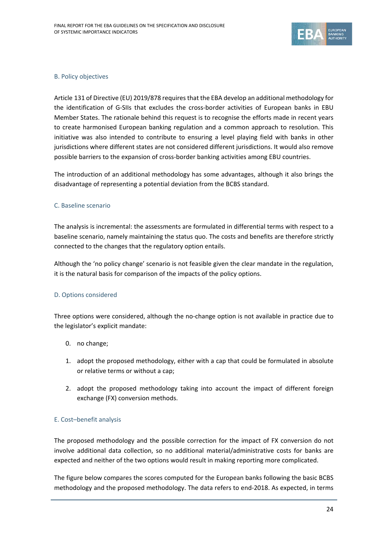

#### B. Policy objectives

Article 131 of Directive (EU) 2019/878 requiresthat the EBA develop an additional methodology for the identification of G-SIIs that excludes the cross-border activities of European banks in EBU Member States. The rationale behind this request is to recognise the efforts made in recent years to create harmonised European banking regulation and a common approach to resolution. This initiative was also intended to contribute to ensuring a level playing field with banks in other jurisdictions where different states are not considered different jurisdictions. It would also remove possible barriers to the expansion of cross-border banking activities among EBU countries.

The introduction of an additional methodology has some advantages, although it also brings the disadvantage of representing a potential deviation from the BCBS standard.

#### C. Baseline scenario

The analysis is incremental: the assessments are formulated in differential terms with respect to a baseline scenario, namely maintaining the status quo. The costs and benefits are therefore strictly connected to the changes that the regulatory option entails.

Although the 'no policy change' scenario is not feasible given the clear mandate in the regulation, it is the natural basis for comparison of the impacts of the policy options.

#### D. Options considered

Three options were considered, although the no-change option is not available in practice due to the legislator's explicit mandate:

- 0. no change;
- 1. adopt the proposed methodology, either with a cap that could be formulated in absolute or relative terms or without a cap;
- 2. adopt the proposed methodology taking into account the impact of different foreign exchange (FX) conversion methods.

#### E. Cost–benefit analysis

The proposed methodology and the possible correction for the impact of FX conversion do not involve additional data collection, so no additional material/administrative costs for banks are expected and neither of the two options would result in making reporting more complicated.

The figure below compares the scores computed for the European banks following the basic BCBS methodology and the proposed methodology. The data refers to end‐2018. As expected, in terms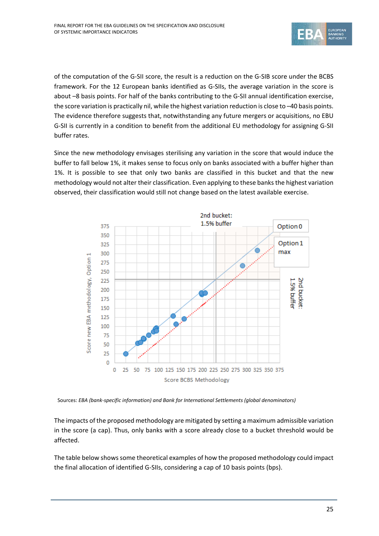

of the computation of the G‐SII score, the result is a reduction on the G‐SIB score under the BCBS framework. For the 12 European banks identified as G‐SIIs, the average variation in the score is about –8 basis points. For half of the banks contributing to the G‐SII annual identification exercise, the score variation is practically nil, while the highest variation reduction is close to –40 basis points. The evidence therefore suggests that, notwithstanding any future mergers or acquisitions, no EBU G‐SII is currently in a condition to benefit from the additional EU methodology for assigning G‐SII buffer rates.

Since the new methodology envisages sterilising any variation in the score that would induce the buffer to fall below 1%, it makes sense to focus only on banks associated with a buffer higher than 1%. It is possible to see that only two banks are classified in this bucket and that the new methodology would not alter their classification. Even applying to these banks the highest variation observed, their classification would still not change based on the latest available exercise.



Sources: *EBA (bank‐specific information) and Bank for International Settlements (global denominators)*

The impacts of the proposed methodology are mitigated by setting a maximum admissible variation in the score (a cap). Thus, only banks with a score already close to a bucket threshold would be affected.

The table below showssome theoretical examples of how the proposed methodology could impact the final allocation of identified G‐SIIs, considering a cap of 10 basis points (bps).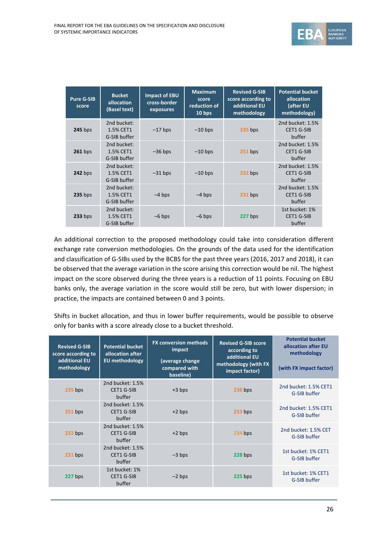

| <b>Pure G-SIB</b><br>score | <b>Bucket</b><br>allocation<br>(Basel text) | <b>Impact of EBU</b><br>cross-border<br>exposures | <b>Maximum</b><br>score<br>reduction of<br>10 bps | <b>Revised G-SIB</b><br>score according to<br>additional EU<br>methodology | <b>Potential bucket</b><br>allocation<br>(after EU<br>methodology) |
|----------------------------|---------------------------------------------|---------------------------------------------------|---------------------------------------------------|----------------------------------------------------------------------------|--------------------------------------------------------------------|
| $245$ bps                  | 2nd bucket:<br>1.5% CET1<br>G-SIB buffer    | $-17$ bps                                         | $-10$ bps                                         | $235$ bps                                                                  | 2nd bucket: 1.5%<br>CET1 G-SIB<br>buffer                           |
| $261$ bps                  | 2nd bucket:<br>1.5% CET1<br>G-SIB buffer    | $-36$ bps                                         | $-10$ bps                                         | $251$ bps                                                                  | 2nd bucket: 1.5%<br><b>CET1 G-SIB</b><br>buffer                    |
| <b>242 bps</b>             | 2nd bucket:<br>1.5% CET1<br>G-SIB buffer    | $-31$ bps                                         | $-10$ bps                                         | $232$ bps                                                                  | 2nd bucket: 1.5%<br><b>CET1 G-SIB</b><br>buffer                    |
| $235$ bps                  | 2nd bucket:<br>1.5% CET1<br>G-SIB buffer    | $-4$ bps                                          | $-4$ bps                                          | $231$ bps                                                                  | 2nd bucket: 1.5%<br><b>CET1 G-SIB</b><br>buffer                    |
| $233$ bps                  | 2nd bucket:<br>1.5% CET1<br>G-SIB buffer    | $-6$ bps                                          | $-6$ bps                                          | 227 bps                                                                    | 1st bucket: 1%<br><b>CET1 G-SIB</b><br>buffer                      |

An additional correction to the proposed methodology could take into consideration different exchange rate conversion methodologies. On the grounds of the data used for the identification and classification of G‐SIBs used by the BCBS for the past three years (2016, 2017 and 2018), it can be observed that the average variation in the score arising this correction would be nil. The highest impact on the score observed during the three years is a reduction of 11 points. Focusing on EBU banks only, the average variation in the score would still be zero, but with lower dispersion; in practice, the impacts are contained between 0 and 3 points.

Shifts in bucket allocation, and thus in lower buffer requirements, would be possible to observe only for banks with a score already close to a bucket threshold.

| <b>Revised G-SIB</b><br>score according to<br>additional EU<br>methodology | <b>Potential bucket</b><br>allocation after<br><b>EU</b> methodology | <b>FX conversion methods</b><br>impact<br>(average change<br>compared with<br>baseline) | <b>Revised G-SIB score</b><br>according to<br>additional EU<br>methodology (with FX<br>impact factor) | <b>Potential bucket</b><br>allocation after EU<br>methodology<br>(with FX impact factor) |
|----------------------------------------------------------------------------|----------------------------------------------------------------------|-----------------------------------------------------------------------------------------|-------------------------------------------------------------------------------------------------------|------------------------------------------------------------------------------------------|
| <b>235 bps</b>                                                             | 2nd bucket: 1.5%<br><b>CET1 G-SIB</b><br>buffer                      | $+3$ bps                                                                                | 238 bps                                                                                               | 2nd bucket: 1.5% CET1<br>G-SIB buffer                                                    |
| $251$ bps                                                                  | 2nd bucket: 1.5%<br><b>CET1 G-SIB</b><br>buffer                      | $+2$ bps                                                                                | $253$ bps                                                                                             | 2nd bucket: 1.5% CET1<br>G-SIB buffer                                                    |
| 232 bps                                                                    | 2nd bucket: 1.5%<br>CET1 G-SIB<br>buffer                             | $+2$ bps                                                                                | 234 bps                                                                                               | 2nd bucket: 1.5% CET<br>G-SIB buffer                                                     |
| $231$ bps                                                                  | 2nd bucket: 1.5%<br>CET1 G-SIB<br>buffer                             | $-3$ bps                                                                                | $228$ bps                                                                                             | 1st bucket: 1% CET1<br>G-SIB buffer                                                      |
| 227 bps                                                                    | 1st bucket: 1%<br><b>CET1 G-SIB</b><br>buffer                        | $-2$ bps                                                                                | $225$ bps                                                                                             | 1st bucket: 1% CET1<br>G-SIB buffer                                                      |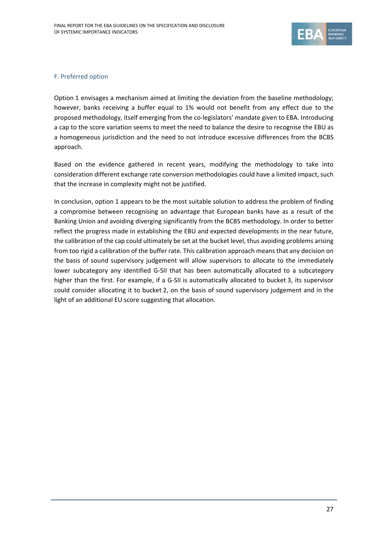

#### F. Preferred option

Option 1 envisages a mechanism aimed at limiting the deviation from the baseline methodology; however, banks receiving a buffer equal to 1% would not benefit from any effect due to the proposed methodology, itself emerging from the co‐legislators' mandate given to EBA. Introducing a cap to the score variation seems to meet the need to balance the desire to recognise the EBU as a homogeneous jurisdiction and the need to not introduce excessive differences from the BCBS approach.

Based on the evidence gathered in recent years, modifying the methodology to take into consideration different exchange rate conversion methodologies could have a limited impact, such that the increase in complexity might not be justified.

In conclusion, option 1 appears to be the most suitable solution to address the problem of finding a compromise between recognising an advantage that European banks have as a result of the Banking Union and avoiding diverging significantly from the BCBS methodology. In order to better reflect the progress made in establishing the EBU and expected developments in the near future, the calibration of the cap could ultimately be set at the bucket level, thus avoiding problems arising from too rigid a calibration of the buffer rate. This calibration approach means that any decision on the basis of sound supervisory judgement will allow supervisors to allocate to the immediately lower subcategory any identified G-SII that has been automatically allocated to a subcategory higher than the first. For example, if a G-SII is automatically allocated to bucket 3, its supervisor could consider allocating it to bucket 2, on the basis of sound supervisory judgement and in the light of an additional EU score suggesting that allocation.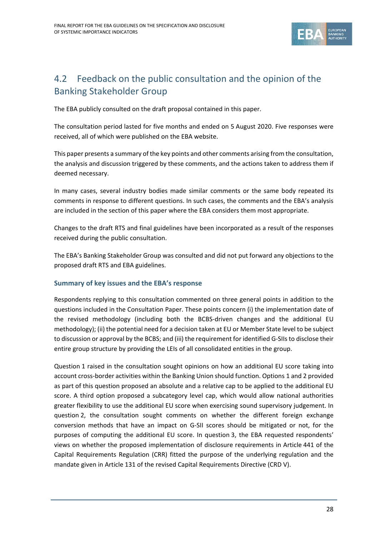

### 4.2 Feedback on the public consultation and the opinion of the Banking Stakeholder Group

The EBA publicly consulted on the draft proposal contained in this paper.

The consultation period lasted for five months and ended on 5 August 2020. Five responses were received, all of which were published on the EBA website.

This paper presents a summary of the key points and other comments arising from the consultation, the analysis and discussion triggered by these comments, and the actions taken to address them if deemed necessary.

In many cases, several industry bodies made similar comments or the same body repeated its comments in response to different questions. In such cases, the comments and the EBA's analysis are included in the section of this paper where the EBA considers them most appropriate.

Changes to the draft RTS and final guidelines have been incorporated as a result of the responses received during the public consultation.

The EBA's Banking Stakeholder Group was consulted and did not put forward any objections to the proposed draft RTS and EBA guidelines.

#### **Summary of key issues and the EBA's response**

Respondents replying to this consultation commented on three general points in addition to the questions included in the Consultation Paper. These points concern (i) the implementation date of the revised methodology (including both the BCBS‐driven changes and the additional EU methodology); (ii) the potential need for a decision taken at EU or Member State level to be subject to discussion or approval by the BCBS; and (iii) the requirement for identified G-SIIs to disclose their entire group structure by providing the LEIs of all consolidated entities in the group.

Question 1 raised in the consultation sought opinions on how an additional EU score taking into account cross‐border activities within the Banking Union should function. Options 1 and 2 provided as part of this question proposed an absolute and a relative cap to be applied to the additional EU score. A third option proposed a subcategory level cap, which would allow national authorities greater flexibility to use the additional EU score when exercising sound supervisory judgement. In question 2, the consultation sought comments on whether the different foreign exchange conversion methods that have an impact on G‐SII scores should be mitigated or not, for the purposes of computing the additional EU score. In question 3, the EBA requested respondents' views on whether the proposed implementation of disclosure requirements in Article 441 of the Capital Requirements Regulation (CRR) fitted the purpose of the underlying regulation and the mandate given in Article 131 of the revised Capital Requirements Directive (CRD V).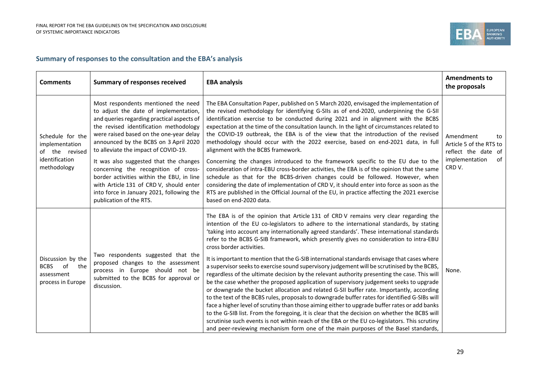

#### **Summary of responses to the consultation and the EBA's analysis**

| <b>Comments</b>                                                                       | <b>Summary of responses received</b>                                                                                                                                                                                                                                                                                                                                                                                                                                                                                                               | <b>EBA analysis</b>                                                                                                                                                                                                                                                                                                                                                                                                                                                                                                                                                                                                                                                                                                                                                                                                                                                                                                                                                                                                                                                                                                                                                                                                                                                                                                                                                              | <b>Amendments to</b><br>the proposals                                                               |
|---------------------------------------------------------------------------------------|----------------------------------------------------------------------------------------------------------------------------------------------------------------------------------------------------------------------------------------------------------------------------------------------------------------------------------------------------------------------------------------------------------------------------------------------------------------------------------------------------------------------------------------------------|----------------------------------------------------------------------------------------------------------------------------------------------------------------------------------------------------------------------------------------------------------------------------------------------------------------------------------------------------------------------------------------------------------------------------------------------------------------------------------------------------------------------------------------------------------------------------------------------------------------------------------------------------------------------------------------------------------------------------------------------------------------------------------------------------------------------------------------------------------------------------------------------------------------------------------------------------------------------------------------------------------------------------------------------------------------------------------------------------------------------------------------------------------------------------------------------------------------------------------------------------------------------------------------------------------------------------------------------------------------------------------|-----------------------------------------------------------------------------------------------------|
| Schedule for the<br>implementation<br>of the revised<br>identification<br>methodology | Most respondents mentioned the need<br>to adjust the date of implementation,<br>and queries regarding practical aspects of<br>the revised identification methodology<br>were raised based on the one-year delay<br>announced by the BCBS on 3 April 2020<br>to alleviate the impact of COVID-19.<br>It was also suggested that the changes<br>concerning the recognition of cross-<br>border activities within the EBU, in line<br>with Article 131 of CRD V, should enter<br>into force in January 2021, following the<br>publication of the RTS. | The EBA Consultation Paper, published on 5 March 2020, envisaged the implementation of<br>the revised methodology for identifying G-SIIs as of end-2020, underpinning the G-SII<br>identification exercise to be conducted during 2021 and in alignment with the BCBS<br>expectation at the time of the consultation launch. In the light of circumstances related to<br>the COVID-19 outbreak, the EBA is of the view that the introduction of the revised<br>methodology should occur with the 2022 exercise, based on end-2021 data, in full<br>alignment with the BCBS framework.<br>Concerning the changes introduced to the framework specific to the EU due to the<br>consideration of intra-EBU cross-border activities, the EBA is of the opinion that the same<br>schedule as that for the BCBS-driven changes could be followed. However, when<br>considering the date of implementation of CRD V, it should enter into force as soon as the<br>RTS are published in the Official Journal of the EU, in practice affecting the 2021 exercise<br>based on end-2020 data.                                                                                                                                                                                                                                                                                               | Amendment<br>to<br>Article 5 of the RTS to<br>reflect the date of<br>of<br>implementation<br>CRD V. |
| Discussion by the<br><b>BCBS</b><br>of<br>the<br>assessment<br>process in Europe      | Two respondents suggested that the<br>proposed changes to the assessment<br>process in Europe should not be<br>submitted to the BCBS for approval or<br>discussion.                                                                                                                                                                                                                                                                                                                                                                                | The EBA is of the opinion that Article 131 of CRD V remains very clear regarding the<br>intention of the EU co-legislators to adhere to the international standards, by stating<br>'taking into account any internationally agreed standards'. These international standards<br>refer to the BCBS G-SIB framework, which presently gives no consideration to intra-EBU<br>cross border activities.<br>It is important to mention that the G-SIB international standards envisage that cases where<br>a supervisor seeks to exercise sound supervisory judgement will be scrutinised by the BCBS,<br>regardless of the ultimate decision by the relevant authority presenting the case. This will<br>be the case whether the proposed application of supervisory judgement seeks to upgrade<br>or downgrade the bucket allocation and related G-SII buffer rate. Importantly, according<br>to the text of the BCBS rules, proposals to downgrade buffer rates for identified G-SIBs will<br>face a higher level of scrutiny than those aiming either to upgrade buffer rates or add banks<br>to the G-SIB list. From the foregoing, it is clear that the decision on whether the BCBS will<br>scrutinise such events is not within reach of the EBA or the EU co-legislators. This scrutiny<br>and peer-reviewing mechanism form one of the main purposes of the Basel standards, | None.                                                                                               |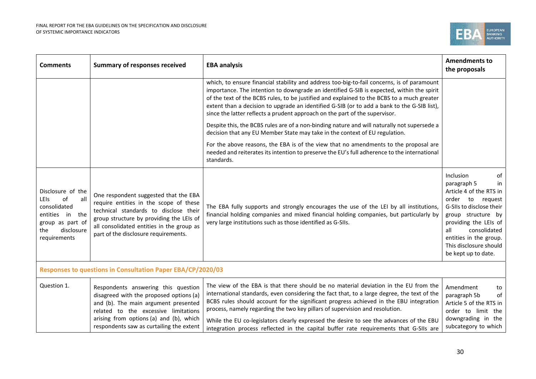

| <b>Comments</b>                                                                                                                              | <b>Summary of responses received</b>                                                                                                                                                                                                                      | <b>EBA analysis</b>                                                                                                                                                                                                                                                                                                                                                                                                                                                                                                                               | <b>Amendments to</b><br>the proposals                                                                                                                                                                                                                                  |  |  |
|----------------------------------------------------------------------------------------------------------------------------------------------|-----------------------------------------------------------------------------------------------------------------------------------------------------------------------------------------------------------------------------------------------------------|---------------------------------------------------------------------------------------------------------------------------------------------------------------------------------------------------------------------------------------------------------------------------------------------------------------------------------------------------------------------------------------------------------------------------------------------------------------------------------------------------------------------------------------------------|------------------------------------------------------------------------------------------------------------------------------------------------------------------------------------------------------------------------------------------------------------------------|--|--|
|                                                                                                                                              |                                                                                                                                                                                                                                                           | which, to ensure financial stability and address too-big-to-fail concerns, is of paramount<br>importance. The intention to downgrade an identified G-SIB is expected, within the spirit<br>of the text of the BCBS rules, to be justified and explained to the BCBS to a much greater<br>extent than a decision to upgrade an identified G-SIB (or to add a bank to the G-SIB list),<br>since the latter reflects a prudent approach on the part of the supervisor.                                                                               |                                                                                                                                                                                                                                                                        |  |  |
|                                                                                                                                              |                                                                                                                                                                                                                                                           | Despite this, the BCBS rules are of a non-binding nature and will naturally not supersede a<br>decision that any EU Member State may take in the context of EU regulation.                                                                                                                                                                                                                                                                                                                                                                        |                                                                                                                                                                                                                                                                        |  |  |
|                                                                                                                                              |                                                                                                                                                                                                                                                           | For the above reasons, the EBA is of the view that no amendments to the proposal are<br>needed and reiterates its intention to preserve the EU's full adherence to the international<br>standards.                                                                                                                                                                                                                                                                                                                                                |                                                                                                                                                                                                                                                                        |  |  |
| Disclosure of the<br>of<br>all<br><b>LEIS</b><br>consolidated<br>entities in<br>the<br>group as part of<br>disclosure<br>the<br>requirements | One respondent suggested that the EBA<br>require entities in the scope of these<br>technical standards to disclose their<br>group structure by providing the LEIs of<br>all consolidated entities in the group as<br>part of the disclosure requirements. | The EBA fully supports and strongly encourages the use of the LEI by all institutions,<br>financial holding companies and mixed financial holding companies, but particularly by<br>very large institutions such as those identified as G-SIIs.                                                                                                                                                                                                                                                                                                   | Inclusion<br>of<br>paragraph 5<br>in<br>Article 4 of the RTS in<br>order<br>to<br>reguest<br>G-SIIs to disclose their<br>group structure by<br>providing the LEIs of<br>consolidated<br>all<br>entities in the group.<br>This disclosure should<br>be kept up to date. |  |  |
| Responses to questions in Consultation Paper EBA/CP/2020/03                                                                                  |                                                                                                                                                                                                                                                           |                                                                                                                                                                                                                                                                                                                                                                                                                                                                                                                                                   |                                                                                                                                                                                                                                                                        |  |  |
| Question 1.                                                                                                                                  | Respondents answering this question<br>disagreed with the proposed options (a)<br>and (b). The main argument presented<br>related to the excessive limitations<br>arising from options (a) and (b), which<br>respondents saw as curtailing the extent     | The view of the EBA is that there should be no material deviation in the EU from the<br>international standards, even considering the fact that, to a large degree, the text of the<br>BCBS rules should account for the significant progress achieved in the EBU integration<br>process, namely regarding the two key pillars of supervision and resolution.<br>While the EU co-legislators clearly expressed the desire to see the advances of the EBU<br>integration process reflected in the capital buffer rate requirements that G-SIIs are | Amendment<br>to<br>paragraph 5b<br>of<br>Article 5 of the RTS in<br>order to limit the<br>downgrading in the<br>subcategory to which                                                                                                                                   |  |  |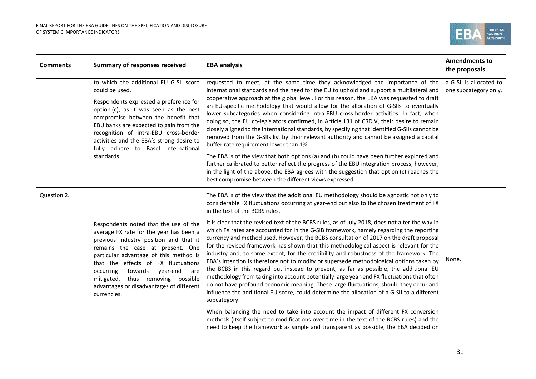

| <b>Comments</b> | <b>Summary of responses received</b>                                                                                                                                                                                                                                                                                                                                                       | <b>EBA analysis</b>                                                                                                                                                                                                                                                                                                                                                                                                                                                                                                                                                                                                                                                                                                                                                                                                                                                                                                                                                                                                                                                                                                                                                                                                                                                                                                                                                                                                                                                        | <b>Amendments to</b><br>the proposals            |
|-----------------|--------------------------------------------------------------------------------------------------------------------------------------------------------------------------------------------------------------------------------------------------------------------------------------------------------------------------------------------------------------------------------------------|----------------------------------------------------------------------------------------------------------------------------------------------------------------------------------------------------------------------------------------------------------------------------------------------------------------------------------------------------------------------------------------------------------------------------------------------------------------------------------------------------------------------------------------------------------------------------------------------------------------------------------------------------------------------------------------------------------------------------------------------------------------------------------------------------------------------------------------------------------------------------------------------------------------------------------------------------------------------------------------------------------------------------------------------------------------------------------------------------------------------------------------------------------------------------------------------------------------------------------------------------------------------------------------------------------------------------------------------------------------------------------------------------------------------------------------------------------------------------|--------------------------------------------------|
|                 | to which the additional EU G-SII score<br>could be used.<br>Respondents expressed a preference for<br>option (c), as it was seen as the best<br>compromise between the benefit that<br>EBU banks are expected to gain from the<br>recognition of intra-EBU cross-border<br>activities and the EBA's strong desire to<br>fully adhere to Basel international<br>standards.                  | requested to meet, at the same time they acknowledged the importance of the<br>international standards and the need for the EU to uphold and support a multilateral and<br>cooperative approach at the global level. For this reason, the EBA was requested to draft<br>an EU-specific methodology that would allow for the allocation of G-SIIs to eventually<br>lower subcategories when considering intra-EBU cross-border activities. In fact, when<br>doing so, the EU co-legislators confirmed, in Article 131 of CRD V, their desire to remain<br>closely aligned to the international standards, by specifying that identified G-SIIs cannot be<br>removed from the G-SIIs list by their relevant authority and cannot be assigned a capital<br>buffer rate requirement lower than 1%.<br>The EBA is of the view that both options (a) and (b) could have been further explored and<br>further calibrated to better reflect the progress of the EBU integration process; however,<br>in the light of the above, the EBA agrees with the suggestion that option (c) reaches the<br>best compromise between the different views expressed.                                                                                                                                                                                                                                                                                                                           | a G-SII is allocated to<br>one subcategory only. |
| Question 2.     | Respondents noted that the use of the<br>average FX rate for the year has been a<br>previous industry position and that it<br>remains the case at present. One<br>particular advantage of this method is<br>that the effects of FX fluctuations<br>occurring<br>towards year-end<br>are<br>thus removing possible<br>mitigated,<br>advantages or disadvantages of different<br>currencies. | The EBA is of the view that the additional EU methodology should be agnostic not only to<br>considerable FX fluctuations occurring at year-end but also to the chosen treatment of FX<br>in the text of the BCBS rules.<br>It is clear that the revised text of the BCBS rules, as of July 2018, does not alter the way in<br>which FX rates are accounted for in the G-SIB framework, namely regarding the reporting<br>currency and method used. However, the BCBS consultation of 2017 on the draft proposal<br>for the revised framework has shown that this methodological aspect is relevant for the<br>industry and, to some extent, for the credibility and robustness of the framework. The<br>EBA's intention is therefore not to modify or supersede methodological options taken by<br>the BCBS in this regard but instead to prevent, as far as possible, the additional EU<br>methodology from taking into account potentially large year-end FX fluctuations that often<br>do not have profound economic meaning. These large fluctuations, should they occur and<br>influence the additional EU score, could determine the allocation of a G-SII to a different<br>subcategory.<br>When balancing the need to take into account the impact of different FX conversion<br>methods (itself subject to modifications over time in the text of the BCBS rules) and the<br>need to keep the framework as simple and transparent as possible, the EBA decided on | None.                                            |